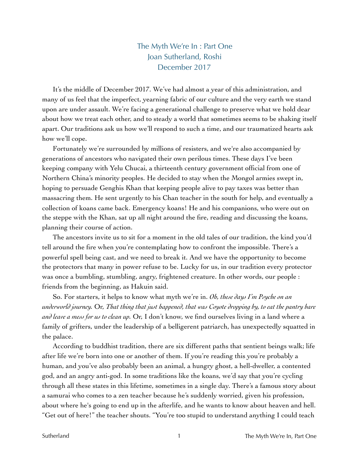## The Myth We're In : Part One Joan Sutherland, Roshi December 2017

It's the middle of December 2017. We've had almost a year of this administration, and many of us feel that the imperfect, yearning fabric of our culture and the very earth we stand upon are under assault. We're facing a generational challenge to preserve what we hold dear about how we treat each other, and to steady a world that sometimes seems to be shaking itself apart. Our traditions ask us how we'll respond to such a time, and our traumatized hearts ask how we'll cope.

Fortunately we're surrounded by millions of resisters, and we're also accompanied by generations of ancestors who navigated their own perilous times. These days I've been keeping company with Yelu Chucai, a thirteenth century government official from one of Northern China's minority peoples. He decided to stay when the Mongol armies swept in, hoping to persuade Genghis Khan that keeping people alive to pay taxes was better than massacring them. He sent urgently to his Chan teacher in the south for help, and eventually a collection of koans came back. Emergency koans! He and his companions, who were out on the steppe with the Khan, sat up all night around the fire, reading and discussing the koans, planning their course of action.

The ancestors invite us to sit for a moment in the old tales of our tradition, the kind you'd tell around the fire when you're contemplating how to confront the impossible. There's a powerful spell being cast, and we need to break it. And we have the opportunity to become the protectors that many in power refuse to be. Lucky for us, in our tradition every protector was once a bumbling, stumbling, angry, frightened creature. In other words, our people : friends from the beginning, as Hakuin said.

So. For starters, it helps to know what myth we're in. *Oh, these days I'm Psyche on an underworld journey.* Or, *That thing that just happened, that was Coyote dropping by, to eat the pantry bare and leave a mess for us to clean up.* Or, I don't know, we find ourselves living in a land where a family of grifters, under the leadership of a belligerent patriarch, has unexpectedly squatted in the palace.

According to buddhist tradition, there are six different paths that sentient beings walk; life after life we're born into one or another of them. If you're reading this you're probably a human, and you've also probably been an animal, a hungry ghost, a hell-dweller, a contented god, and an angry anti-god. In some traditions like the koans, we'd say that you're cycling through all these states in this lifetime, sometimes in a single day. There's a famous story about a samurai who comes to a zen teacher because he's suddenly worried, given his profession, about where he's going to end up in the afterlife, and he wants to know about heaven and hell. "Get out of here!" the teacher shouts. "You're too stupid to understand anything I could teach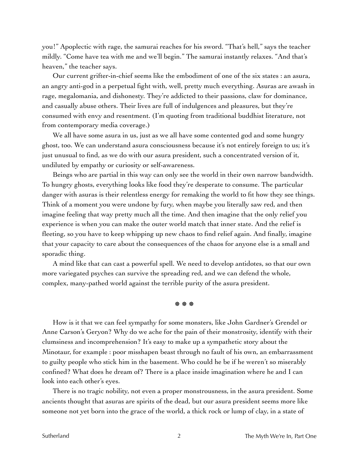you!" Apoplectic with rage, the samurai reaches for his sword. "That's hell," says the teacher mildly. "Come have tea with me and we'll begin." The samurai instantly relaxes. "And that's heaven," the teacher says.

Our current grifter-in-chief seems like the embodiment of one of the six states : an asura, an angry anti-god in a perpetual fight with, well, pretty much everything. Asuras are awash in rage, megalomania, and dishonesty. They're addicted to their passions, claw for dominance, and casually abuse others. Their lives are full of indulgences and pleasures, but they're consumed with envy and resentment. (I'm quoting from traditional buddhist literature, not from contemporary media coverage.)

We all have some asura in us, just as we all have some contented god and some hungry ghost, too. We can understand asura consciousness because it's not entirely foreign to us; it's just unusual to find, as we do with our asura president, such a concentrated version of it, undiluted by empathy or curiosity or self-awareness.

Beings who are partial in this way can only see the world in their own narrow bandwidth. To hungry ghosts, everything looks like food they're desperate to consume. The particular danger with asuras is their relentless energy for remaking the world to fit how they see things. Think of a moment you were undone by fury, when maybe you literally saw red, and then imagine feeling that way pretty much all the time. And then imagine that the only relief you experience is when you can make the outer world match that inner state. And the relief is fleeting, so you have to keep whipping up new chaos to find relief again. And finally, imagine that your capacity to care about the consequences of the chaos for anyone else is a small and sporadic thing.

A mind like that can cast a powerful spell. We need to develop antidotes, so that our own more variegated psyches can survive the spreading red, and we can defend the whole, complex, many-pathed world against the terrible purity of the asura president.

☸ ☸ ☸

How is it that we can feel sympathy for some monsters, like John Gardner's Grendel or Anne Carson's Geryon? Why do we ache for the pain of their monstrosity, identify with their clumsiness and incomprehension? It's easy to make up a sympathetic story about the Minotaur, for example : poor misshapen beast through no fault of his own, an embarrassment to guilty people who stick him in the basement. Who could he be if he weren't so miserably confined? What does he dream of? There is a place inside imagination where he and I can look into each other's eyes.

There is no tragic nobility, not even a proper monstrousness, in the asura president. Some ancients thought that asuras are spirits of the dead, but our asura president seems more like someone not yet born into the grace of the world, a thick rock or lump of clay, in a state of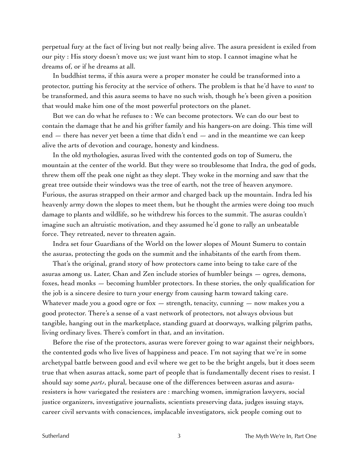perpetual fury at the fact of living but not really being alive. The asura president is exiled from our pity : His story doesn't move us; we just want him to stop. I cannot imagine what he dreams of, or if he dreams at all.

In buddhist terms, if this asura were a proper monster he could be transformed into a protector, putting his ferocity at the service of others. The problem is that he'd have to *want* to be transformed, and this asura seems to have no such wish, though he's been given a position that would make him one of the most powerful protectors on the planet.

But we can do what he refuses to : We can become protectors. We can do our best to contain the damage that he and his grifter family and his hangers-on are doing. This time will end  $-$  there has never yet been a time that didn't end  $-$  and in the meantime we can keep alive the arts of devotion and courage, honesty and kindness.

In the old mythologies, asuras lived with the contented gods on top of Sumeru, the mountain at the center of the world. But they were so troublesome that Indra, the god of gods, threw them off the peak one night as they slept. They woke in the morning and saw that the great tree outside their windows was the tree of earth, not the tree of heaven anymore. Furious, the asuras strapped on their armor and charged back up the mountain. Indra led his heavenly army down the slopes to meet them, but he thought the armies were doing too much damage to plants and wildlife, so he withdrew his forces to the summit. The asuras couldn't imagine such an altruistic motivation, and they assumed he'd gone to rally an unbeatable force. They retreated, never to threaten again.

Indra set four Guardians of the World on the lower slopes of Mount Sumeru to contain the asuras, protecting the gods on the summit and the inhabitants of the earth from them.

That's the original, grand story of how protectors came into being to take care of the asuras among us. Later, Chan and Zen include stories of humbler beings — ogres, demons, foxes, head monks — becoming humbler protectors. In these stories, the only qualification for the job is a sincere desire to turn your energy from causing harm toward taking care. Whatever made you a good ogre or fox  $-$  strength, tenacity, cunning  $-$  now makes you a good protector. There's a sense of a vast network of protectors, not always obvious but tangible, hanging out in the marketplace, standing guard at doorways, walking pilgrim paths, living ordinary lives. There's comfort in that, and an invitation.

Before the rise of the protectors, asuras were forever going to war against their neighbors, the contented gods who live lives of happiness and peace. I'm not saying that we're in some archetypal battle between good and evil where we get to be the bright angels, but it does seem true that when asuras attack, some part of people that is fundamentally decent rises to resist. I should say some *parts*, plural, because one of the differences between asuras and asuraresisters is how variegated the resisters are : marching women, immigration lawyers, social justice organizers, investigative journalists, scientists preserving data, judges issuing stays, career civil servants with consciences, implacable investigators, sick people coming out to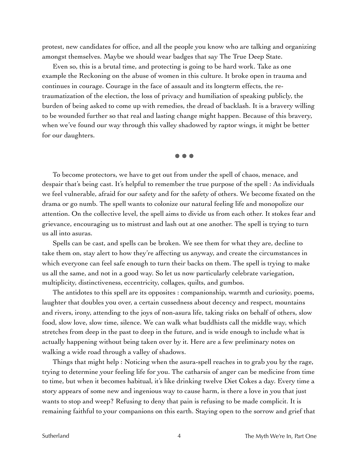protest, new candidates for office, and all the people you know who are talking and organizing amongst themselves. Maybe we should wear badges that say The True Deep State.

Even so, this is a brutal time, and protecting is going to be hard work. Take as one example the Reckoning on the abuse of women in this culture. It broke open in trauma and continues in courage. Courage in the face of assault and its longterm effects, the retraumatization of the election, the loss of privacy and humiliation of speaking publicly, the burden of being asked to come up with remedies, the dread of backlash. It is a bravery willing to be wounded further so that real and lasting change might happen. Because of this bravery, when we've found our way through this valley shadowed by raptor wings, it might be better for our daughters.

☸ ☸ ☸

To become protectors, we have to get out from under the spell of chaos, menace, and despair that's being cast. It's helpful to remember the true purpose of the spell : As individuals we feel vulnerable, afraid for our safety and for the safety of others. We become fixated on the drama or go numb. The spell wants to colonize our natural feeling life and monopolize our attention. On the collective level, the spell aims to divide us from each other. It stokes fear and grievance, encouraging us to mistrust and lash out at one another. The spell is trying to turn us all into asuras.

Spells can be cast, and spells can be broken. We see them for what they are, decline to take them on, stay alert to how they're affecting us anyway, and create the circumstances in which everyone can feel safe enough to turn their backs on them. The spell is trying to make us all the same, and not in a good way. So let us now particularly celebrate variegation, multiplicity, distinctiveness, eccentricity, collages, quilts, and gumbos.

The antidotes to this spell are its opposites : companionship, warmth and curiosity, poems, laughter that doubles you over, a certain cussedness about decency and respect, mountains and rivers, irony, attending to the joys of non-asura life, taking risks on behalf of others, slow food, slow love, slow time, silence. We can walk what buddhists call the middle way, which stretches from deep in the past to deep in the future, and is wide enough to include what is actually happening without being taken over by it. Here are a few preliminary notes on walking a wide road through a valley of shadows.

Things that might help : Noticing when the asura-spell reaches in to grab you by the rage, trying to determine your feeling life for you. The catharsis of anger can be medicine from time to time, but when it becomes habitual, it's like drinking twelve Diet Cokes a day. Every time a story appears of some new and ingenious way to cause harm, is there a love in you that just wants to stop and weep? Refusing to deny that pain is refusing to be made complicit. It is remaining faithful to your companions on this earth. Staying open to the sorrow and grief that